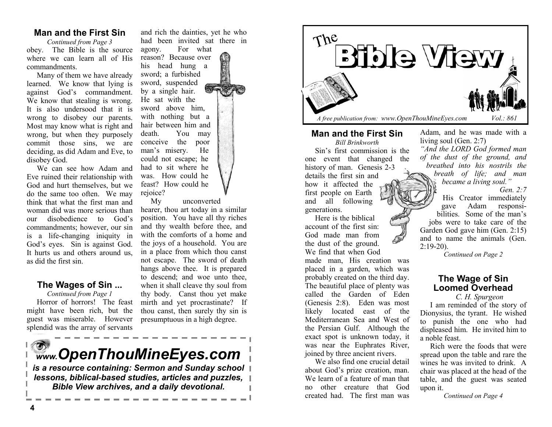### **Man and the First Sin**

*Continued from Page 3* obey. The Bible is the source where we can learn all of His commandments.

Many of them we have already learned. We know that lying is against God's commandment. We know that stealing is wrong. It is also undersood that it is wrong to disobey our parents. Most may know what is right and wrong, but when they purposely commit those sins, we are deciding, as did Adam and Eve, to disobey God.

We can see how Adam and Eve ruined their relationship with God and hurt themselves, but we do the same too often. We may think that what the first man and woman did was more serious than our disobedience to God's commandments; however, our sin is a life-changing iniquity in God's eyes. Sin is against God. It hurts us and others around us. as did the first sin.

#### **The Wages of Sin ...**

*Continued from Page 1* Horror of horrors! The feast might have been rich, but the guest was miserable. However splendid was the array of servants

and rich the dainties, yet he who had been invited sat there in agony. For what reason? Because over his head hung a sword; a furbished sword, suspended by a single hair. He sat with the sword above him, with nothing but a hair between him and death. You may conceive the poor man's misery. He could not escape; he had to sit where he was. How could he feast? How could he rejoice?

My unconverted hearer, thou art today in a similar position. You have all thy riches and thy wealth before thee, and with the comforts of a home and the joys of a household. You are in a place from which thou canst not escape. The sword of death hangs above thee. It is prepared to descend; and woe unto thee, when it shall cleave thy soul from thy body. Canst thou yet make mirth and yet procrastinate? If thou canst, then surely thy sin is presumptuous in a high degree.



*lessons, biblical-based studies, articles and puzzles, Bible View archives, and a daily devotional.* 



#### **Man and the First Sin**

*Bill Brinkworth*  Sin's first commission is the one event that changed the history of man. Genesis 2-3

details the first sin and how it affected the first people on Earth and all following generations.

Here is the biblical account of the first sin: God made man from the dust of the ground. We find that when God made man, His creation was placed in a garden, which was probably created on the third day. The beautiful place of plenty was called the Garden of Eden (Genesis 2:8). Eden was most likely located east of the Mediterranean Sea and West of the Persian Gulf. Although the exact spot is unknown today, it was near the Euphrates River, joined by three ancient rivers.

We also find one crucial detail about God's prize creation, man. We learn of a feature of man that no other creature that God created had. The first man was

Adam, and he was made with a living soul (Gen. 2:7)

*"And the LORD God formed man of the dust of the ground, and breathed into his nostrils the breath of life; and man became a living soul."*

*Gen. 2:7*

His Creator immediately gave Adam responsibilities. Some of the man's jobs were to take care of the Garden God gave him (Gen. 2:15) and to name the animals (Gen. 2:19-20).

*Continued on Page 2*

## **The Wage of Sin Loomed Overhead**

*C. H. Spurgeon*

I am reminded of the story of Dionysius, the tyrant. He wished to punish the one who had displeased him. He invited him to a noble feast.

Rich were the foods that were spread upon the table and rare the wines he was invited to drink. A chair was placed at the head of the table, and the guest was seated upon it.

*Continued on Page 4*